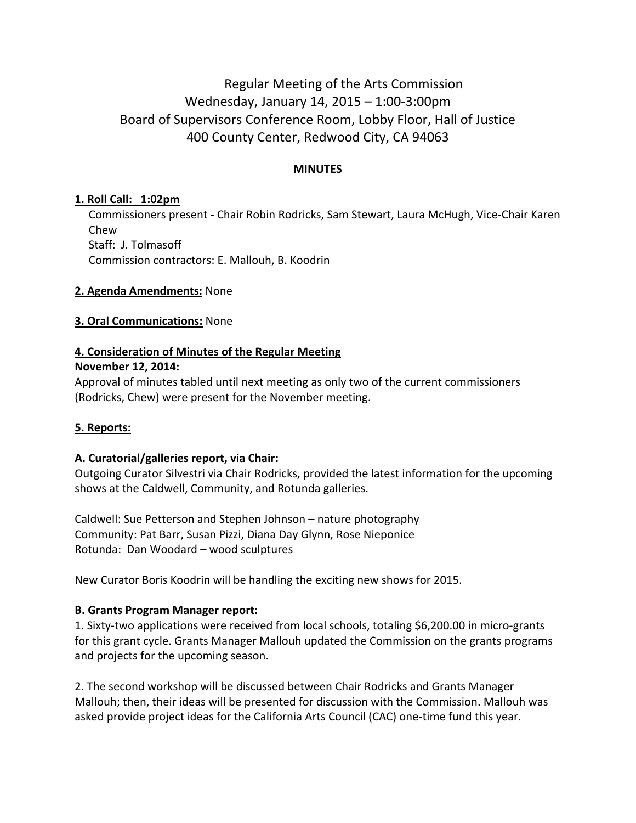# Regular Meeting of the Arts Commission Wednesday, January 14, 2015 – 1:00-3:00pm Board of Supervisors Conference Room, Lobby Floor, Hall of Justice 400 County Center, Redwood City, CA 94063

### **MINUTES**

## **1. Roll Call: 1:02pm**

Commissioners present - Chair Robin Rodricks, Sam Stewart, Laura McHugh, Vice-Chair Karen Chew Staff: J. Tolmasoff Commission contractors: E. Mallouh, B. Koodrin

#### **2. Agenda Amendments:** None

#### **3. Oral Communications:** None

#### **4. Consideration of Minutes of the Regular Meeting**

#### **November 12, 2014:**

Approval of minutes tabled until next meeting as only two of the current commissioners (Rodricks, Chew) were present for the November meeting.

#### **5. Reports:**

#### **A. Curatorial/galleries report, via Chair:**

Outgoing Curator Silvestri via Chair Rodricks, provided the latest information for the upcoming shows at the Caldwell, Community, and Rotunda galleries.

Caldwell: Sue Petterson and Stephen Johnson – nature photography Community: Pat Barr, Susan Pizzi, Diana Day Glynn, Rose Nieponice Rotunda: Dan Woodard – wood sculptures

New Curator Boris Koodrin will be handling the exciting new shows for 2015.

#### **B. Grants Program Manager report:**

1. Sixty-two applications were received from local schools, totaling \$6,200.00 in micro-grants for this grant cycle. Grants Manager Mallouh updated the Commission on the grants programs and projects for the upcoming season.

2. The second workshop will be discussed between Chair Rodricks and Grants Manager Mallouh; then, their ideas will be presented for discussion with the Commission. Mallouh was asked provide project ideas for the California Arts Council (CAC) one-time fund this year.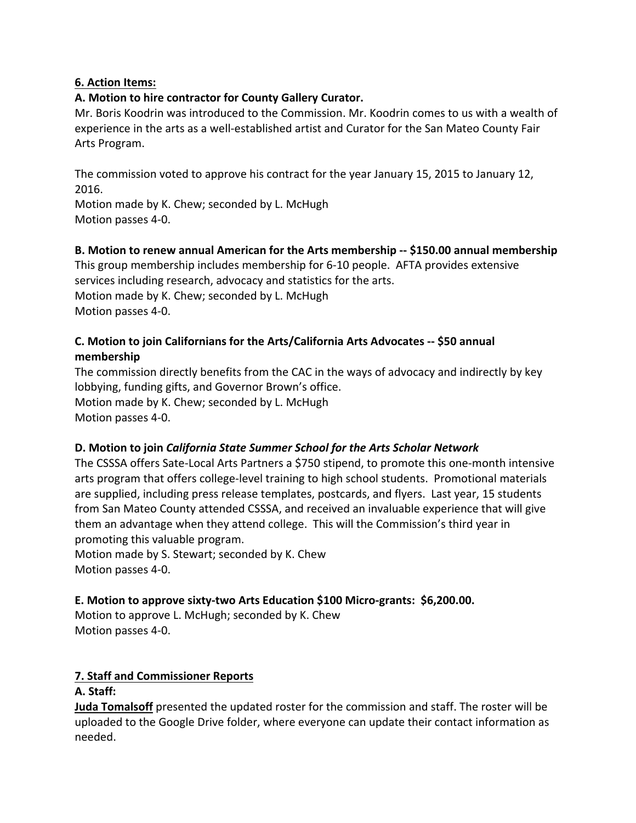## **6. Action Items:**

### **A. Motion to hire contractor for County Gallery Curator.**

Mr. Boris Koodrin was introduced to the Commission. Mr. Koodrin comes to us with a wealth of experience in the arts as a well-established artist and Curator for the San Mateo County Fair Arts Program.

The commission voted to approve his contract for the year January 15, 2015 to January 12, 2016.

Motion made by K. Chew; seconded by L. McHugh Motion passes 4-0.

#### **B. Motion to renew annual American for the Arts membership -- \$150.00 annual membership**

This group membership includes membership for 6-10 people. AFTA provides extensive services including research, advocacy and statistics for the arts. Motion made by K. Chew; seconded by L. McHugh Motion passes 4-0.

## **C. Motion to join Californians for the Arts/California Arts Advocates -- \$50 annual membership**

The commission directly benefits from the CAC in the ways of advocacy and indirectly by key lobbying, funding gifts, and Governor Brown's office. Motion made by K. Chew; seconded by L. McHugh Motion passes 4-0.

## **D. Motion to join** *California State Summer School for the Arts Scholar Network*

The CSSSA offers Sate-Local Arts Partners a \$750 stipend, to promote this one-month intensive arts program that offers college-level training to high school students. Promotional materials are supplied, including press release templates, postcards, and flyers. Last year, 15 students from San Mateo County attended CSSSA, and received an invaluable experience that will give them an advantage when they attend college. This will the Commission's third year in promoting this valuable program.

Motion made by S. Stewart; seconded by K. Chew Motion passes 4-0.

## **E. Motion to approve sixty-two Arts Education \$100 Micro-grants: \$6,200.00.**

Motion to approve L. McHugh; seconded by K. Chew Motion passes 4-0.

## **7. Staff and Commissioner Reports**

#### **A. Staff:**

**Juda Tomalsoff** presented the updated roster for the commission and staff. The roster will be uploaded to the Google Drive folder, where everyone can update their contact information as needed.